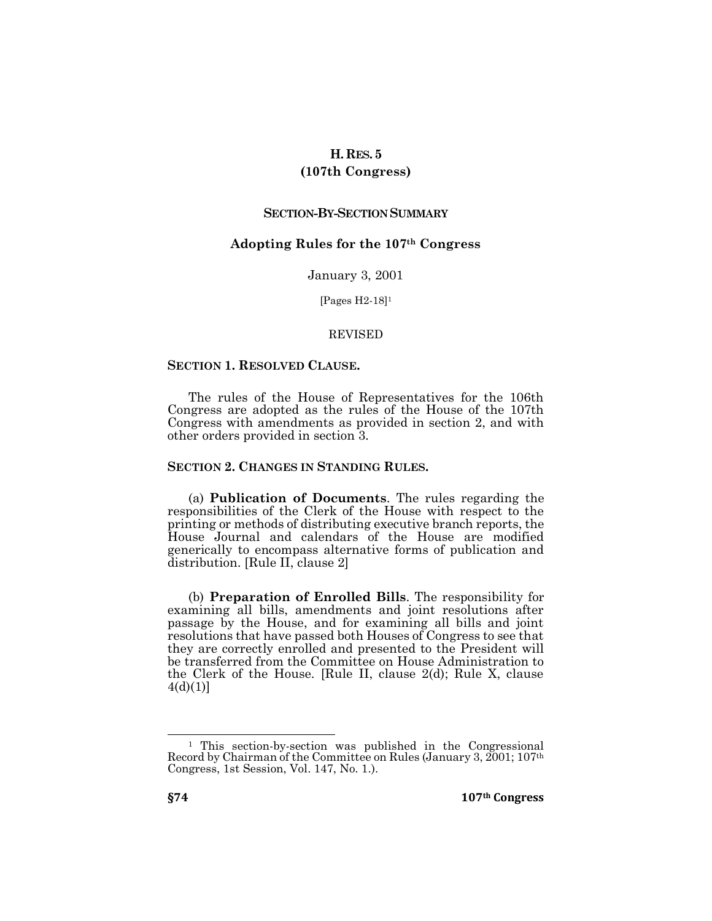# **H.RES. 5**

## **(107th Congress)**

## **SECTION-BY-SECTION SUMMARY**

## **Adopting Rules for the 107th Congress**

January 3, 2001

[Pages H2-18]<sup>1</sup>

#### REVISED

## **SECTION 1. RESOLVED CLAUSE.**

The rules of the House of Representatives for the 106th Congress are adopted as the rules of the House of the 107th Congress with amendments as provided in section 2, and with other orders provided in section 3.

## **SECTION 2. CHANGES IN STANDING RULES.**

(a) **Publication of Documents**. The rules regarding the responsibilities of the Clerk of the House with respect to the printing or methods of distributing executive branch reports, the House Journal and calendars of the House are modified generically to encompass alternative forms of publication and distribution. [Rule II, clause 2]

(b) **Preparation of Enrolled Bills**. The responsibility for examining all bills, amendments and joint resolutions after passage by the House, and for examining all bills and joint resolutions that have passed both Houses of Congress to see that they are correctly enrolled and presented to the President will be transferred from the Committee on House Administration to the Clerk of the House. [Rule II, clause 2(d); Rule X, clause  $4(d)(1)$ ]

 $\overline{a}$ 

<sup>1</sup> This section-by-section was published in the Congressional Record by Chairman of the Committee on Rules (January 3, 2001; 107th Congress, 1st Session, Vol. 147, No. 1.).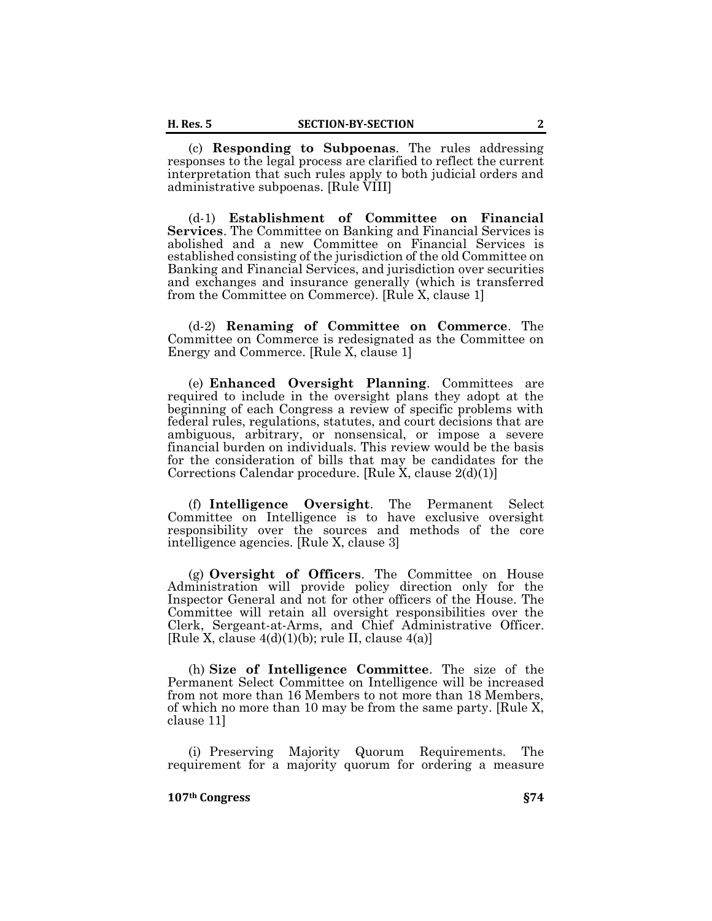(c) **Responding to Subpoenas**. The rules addressing responses to the legal process are clarified to reflect the current interpretation that such rules apply to both judicial orders and administrative subpoenas. [Rule VIII]

(d-1) **Establishment of Committee on Financial Services**. The Committee on Banking and Financial Services is abolished and a new Committee on Financial Services is established consisting of the jurisdiction of the old Committee on Banking and Financial Services, and jurisdiction over securities and exchanges and insurance generally (which is transferred from the Committee on Commerce). [Rule X, clause 1]

(d-2) **Renaming of Committee on Commerce**. The Committee on Commerce is redesignated as the Committee on Energy and Commerce. [Rule X, clause 1]

(e) **Enhanced Oversight Planning**. Committees are required to include in the oversight plans they adopt at the beginning of each Congress a review of specific problems with federal rules, regulations, statutes, and court decisions that are ambiguous, arbitrary, or nonsensical, or impose a severe financial burden on individuals. This review would be the basis for the consideration of bills that may be candidates for the Corrections Calendar procedure. [Rule X, clause 2(d)(1)]

(f) **Intelligence Oversight**. The Permanent Select Committee on Intelligence is to have exclusive oversight responsibility over the sources and methods of the core intelligence agencies. [Rule X, clause 3]

(g) **Oversight of Officers**. The Committee on House Administration will provide policy direction only for the Inspector General and not for other officers of the House. The Committee will retain all oversight responsibilities over the Clerk, Sergeant-at-Arms, and Chief Administrative Officer. [Rule X, clause  $4(d)(1)(b)$ ; rule II, clause  $4(a)$ ]

(h) **Size of Intelligence Committee**. The size of the Permanent Select Committee on Intelligence will be increased from not more than 16 Members to not more than 18 Members, of which no more than 10 may be from the same party. [Rule X, clause 11]

(i) Preserving Majority Quorum Requirements. The requirement for a majority quorum for ordering a measure

#### **107th Congress §74**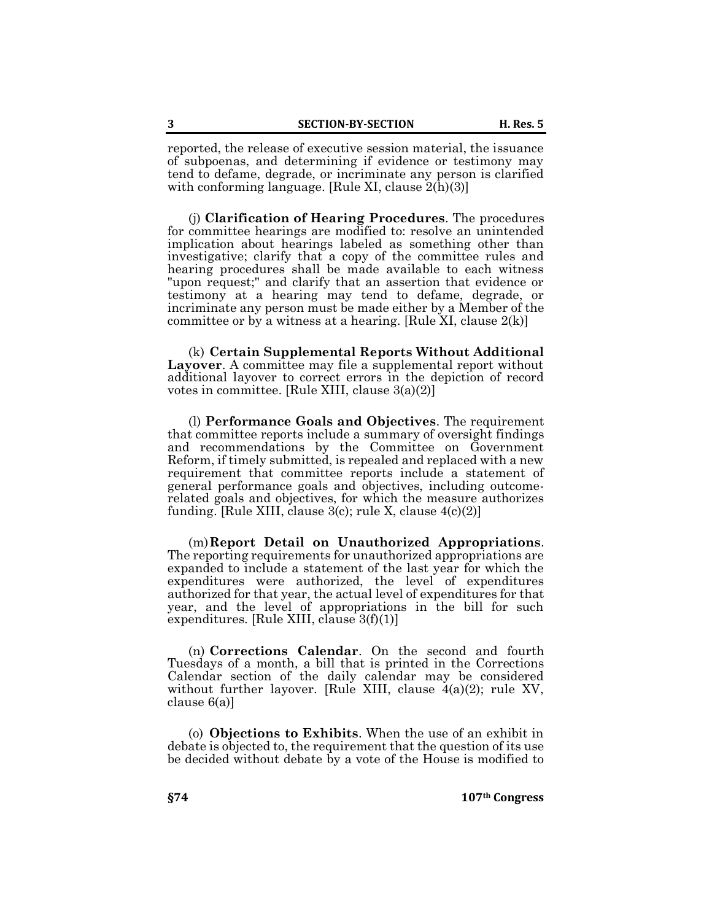reported, the release of executive session material, the issuance of subpoenas, and determining if evidence or testimony may tend to defame, degrade, or incriminate any person is clarified with conforming language. [Rule XI, clause 2(h)(3)]

(j) **Clarification of Hearing Procedures**. The procedures for committee hearings are modified to: resolve an unintended implication about hearings labeled as something other than investigative; clarify that a copy of the committee rules and hearing procedures shall be made available to each witness "upon request;" and clarify that an assertion that evidence or testimony at a hearing may tend to defame, degrade, or incriminate any person must be made either by a Member of the committee or by a witness at a hearing. [Rule XI, clause  $2(k)$ ]

(k) **Certain Supplemental Reports Without Additional Layover**. A committee may file a supplemental report without additional layover to correct errors in the depiction of record votes in committee. [Rule XIII, clause 3(a)(2)]

(l) **Performance Goals and Objectives**. The requirement that committee reports include a summary of oversight findings and recommendations by the Committee on Government Reform, if timely submitted, is repealed and replaced with a new requirement that committee reports include a statement of general performance goals and objectives, including outcomerelated goals and objectives, for which the measure authorizes funding. [Rule XIII, clause  $3(c)$ ; rule X, clause  $4(c)(2)$ ]

(m)**Report Detail on Unauthorized Appropriations**. The reporting requirements for unauthorized appropriations are expanded to include a statement of the last year for which the expenditures were authorized, the level of expenditures authorized for that year, the actual level of expenditures for that year, and the level of appropriations in the bill for such expenditures. [Rule XIII, clause 3(f)(1)]

(n) **Corrections Calendar**. On the second and fourth Tuesdays of a month, a bill that is printed in the Corrections Calendar section of the daily calendar may be considered without further layover. [Rule XIII, clause  $4(a)(2)$ ; rule XV, clause 6(a)]

(o) **Objections to Exhibits**. When the use of an exhibit in debate is objected to, the requirement that the question of its use be decided without debate by a vote of the House is modified to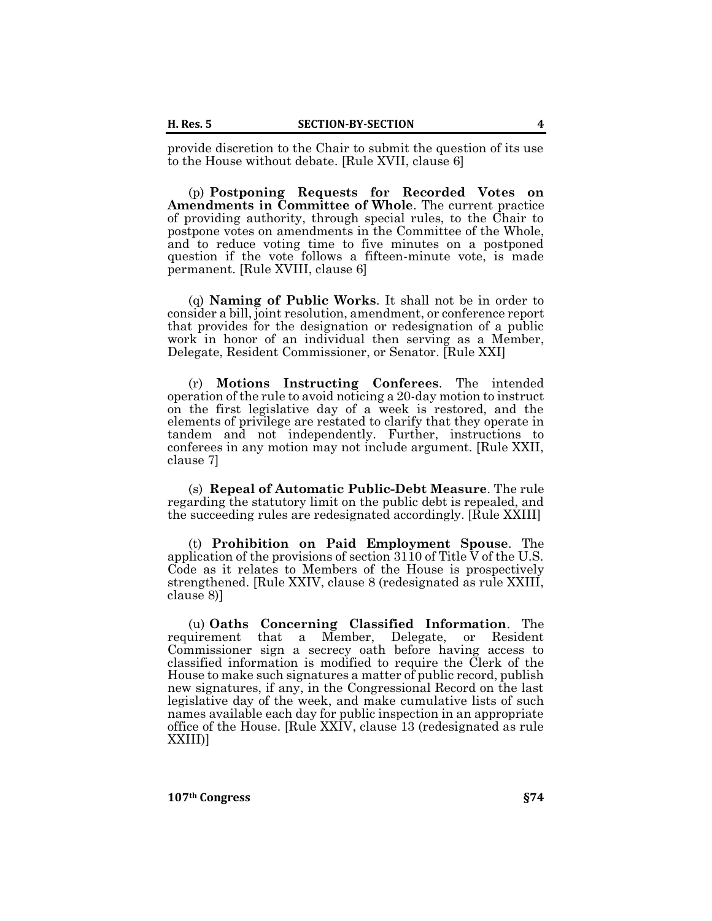provide discretion to the Chair to submit the question of its use to the House without debate. [Rule XVII, clause 6]

(p) **Postponing Requests for Recorded Votes on Amendments in Committee of Whole**. The current practice of providing authority, through special rules, to the Chair to postpone votes on amendments in the Committee of the Whole, and to reduce voting time to five minutes on a postponed question if the vote follows a fifteen-minute vote, is made permanent. [Rule XVIII, clause 6]

(q) **Naming of Public Works**. It shall not be in order to consider a bill, joint resolution, amendment, or conference report that provides for the designation or redesignation of a public work in honor of an individual then serving as a Member, Delegate, Resident Commissioner, or Senator. [Rule XXI]

(r) **Motions Instructing Conferees**. The intended operation of the rule to avoid noticing a 20-day motion to instruct on the first legislative day of a week is restored, and the elements of privilege are restated to clarify that they operate in tandem and not independently. Further, instructions to conferees in any motion may not include argument. [Rule XXII, clause 7]

(s) **Repeal of Automatic Public-Debt Measure**. The rule regarding the statutory limit on the public debt is repealed, and the succeeding rules are redesignated accordingly. [Rule XXIII]

(t) **Prohibition on Paid Employment Spouse**. The application of the provisions of section  $3110$  of Title V of the U.S. Code as it relates to Members of the House is prospectively strengthened. [Rule XXIV, clause 8 (redesignated as rule XXIII, clause 8)]

(u) **Oaths Concerning Classified Information**. The requirement that a Member, Delegate, or Resident Commissioner sign a secrecy oath before having access to classified information is modified to require the Clerk of the House to make such signatures a matter of public record, publish new signatures, if any, in the Congressional Record on the last legislative day of the week, and make cumulative lists of such names available each day for public inspection in an appropriate office of the House. [Rule XXIV, clause 13 (redesignated as rule XXIII)]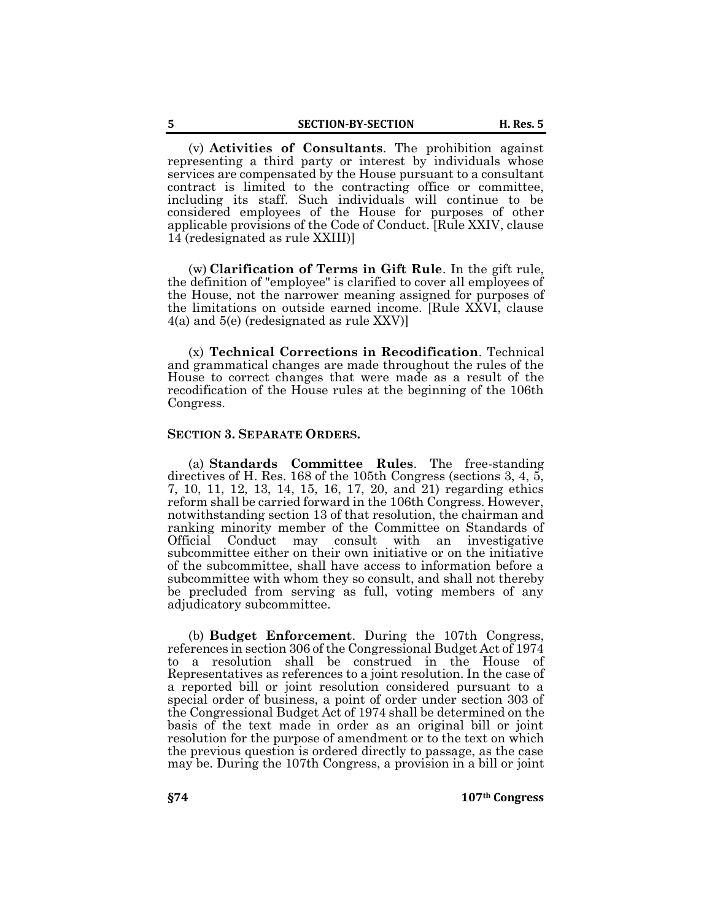(v) **Activities of Consultants**. The prohibition against representing a third party or interest by individuals whose services are compensated by the House pursuant to a consultant contract is limited to the contracting office or committee, including its staff. Such individuals will continue to be considered employees of the House for purposes of other applicable provisions of the Code of Conduct. [Rule XXIV, clause 14 (redesignated as rule XXIII)]

(w) **Clarification of Terms in Gift Rule**. In the gift rule, the definition of "employee" is clarified to cover all employees of the House, not the narrower meaning assigned for purposes of the limitations on outside earned income. [Rule XXVI, clause 4(a) and 5(e) (redesignated as rule XXV)]

(x) **Technical Corrections in Recodification**. Technical and grammatical changes are made throughout the rules of the House to correct changes that were made as a result of the recodification of the House rules at the beginning of the 106th Congress.

## **SECTION 3. SEPARATE ORDERS.**

(a) **Standards Committee Rules**. The free-standing directives of H. Res. 168 of the 105th Congress (sections 3, 4, 5, 7, 10, 11, 12, 13, 14, 15, 16, 17, 20, and 21) regarding ethics reform shall be carried forward in the 106th Congress. However, notwithstanding section 13 of that resolution, the chairman and ranking minority member of the Committee on Standards of Official Conduct may consult with an investigative subcommittee either on their own initiative or on the initiative of the subcommittee, shall have access to information before a subcommittee with whom they so consult, and shall not thereby be precluded from serving as full, voting members of any adjudicatory subcommittee.

(b) **Budget Enforcement**. During the 107th Congress, references in section 306 of the Congressional Budget Act of 1974 to a resolution shall be construed in the House of Representatives as references to a joint resolution. In the case of a reported bill or joint resolution considered pursuant to a special order of business, a point of order under section 303 of the Congressional Budget Act of 1974 shall be determined on the basis of the text made in order as an original bill or joint resolution for the purpose of amendment or to the text on which the previous question is ordered directly to passage, as the case may be. During the 107th Congress, a provision in a bill or joint